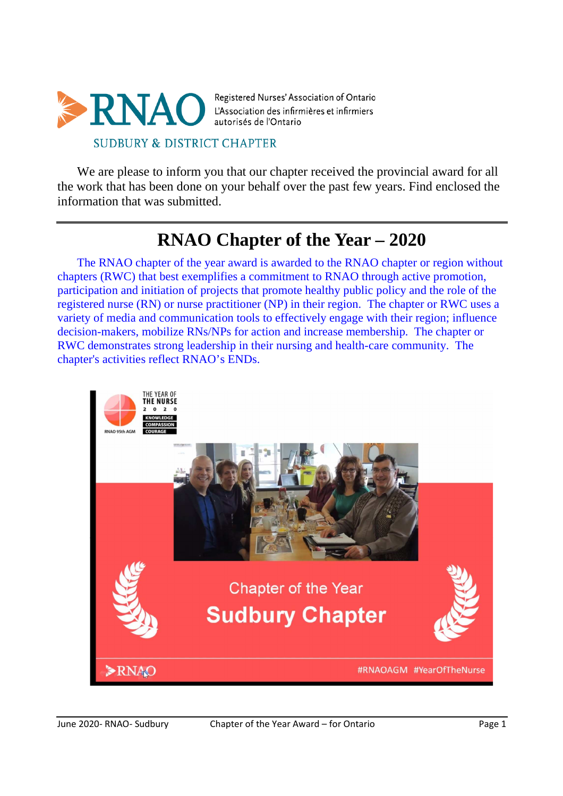

We are please to inform you that our chapter received the provincial award for all the work that has been done on your behalf over the past few years. Find enclosed the information that was submitted.

# **RNAO Chapter of the Year – 2020**

The RNAO chapter of the year award is awarded to the RNAO chapter or region without chapters (RWC) that best exemplifies a commitment to RNAO through active promotion, participation and initiation of projects that promote healthy public policy and the role of the registered nurse (RN) or nurse practitioner (NP) in their region. The chapter or RWC uses a variety of media and communication tools to effectively engage with their region; influence decision-makers, mobilize RNs/NPs for action and increase membership. The chapter or RWC demonstrates strong leadership in their nursing and health-care community. The chapter's activities reflect RNAO's ENDs.

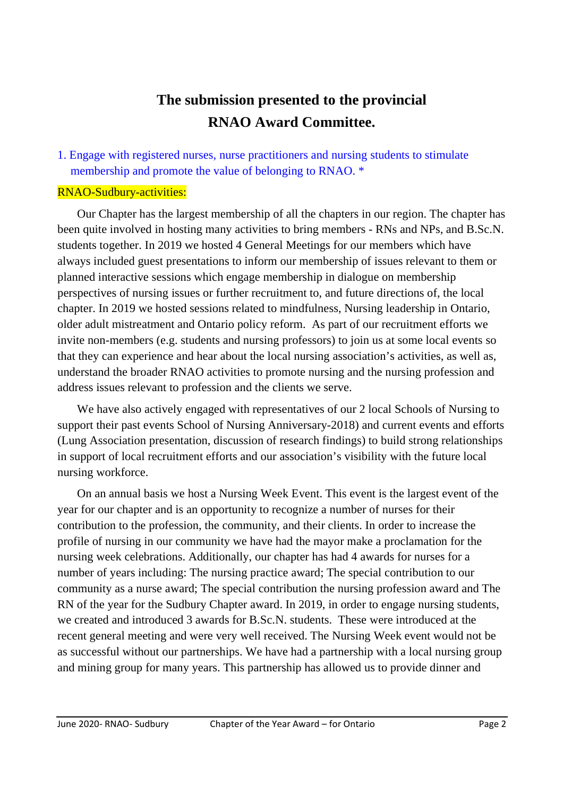## **The submission presented to the provincial RNAO Award Committee.**

## 1. Engage with registered nurses, nurse practitioners and nursing students to stimulate membership and promote the value of belonging to RNAO. \*

## RNAO-Sudbury-activities:

Our Chapter has the largest membership of all the chapters in our region. The chapter has been quite involved in hosting many activities to bring members - RNs and NPs, and B.Sc.N. students together. In 2019 we hosted 4 General Meetings for our members which have always included guest presentations to inform our membership of issues relevant to them or planned interactive sessions which engage membership in dialogue on membership perspectives of nursing issues or further recruitment to, and future directions of, the local chapter. In 2019 we hosted sessions related to mindfulness, Nursing leadership in Ontario, older adult mistreatment and Ontario policy reform. As part of our recruitment efforts we invite non-members (e.g. students and nursing professors) to join us at some local events so that they can experience and hear about the local nursing association's activities, as well as, understand the broader RNAO activities to promote nursing and the nursing profession and address issues relevant to profession and the clients we serve.

We have also actively engaged with representatives of our 2 local Schools of Nursing to support their past events School of Nursing Anniversary-2018) and current events and efforts (Lung Association presentation, discussion of research findings) to build strong relationships in support of local recruitment efforts and our association's visibility with the future local nursing workforce.

On an annual basis we host a Nursing Week Event. This event is the largest event of the year for our chapter and is an opportunity to recognize a number of nurses for their contribution to the profession, the community, and their clients. In order to increase the profile of nursing in our community we have had the mayor make a proclamation for the nursing week celebrations. Additionally, our chapter has had 4 awards for nurses for a number of years including: The nursing practice award; The special contribution to our community as a nurse award; The special contribution the nursing profession award and The RN of the year for the Sudbury Chapter award. In 2019, in order to engage nursing students, we created and introduced 3 awards for B.Sc.N. students. These were introduced at the recent general meeting and were very well received. The Nursing Week event would not be as successful without our partnerships. We have had a partnership with a local nursing group and mining group for many years. This partnership has allowed us to provide dinner and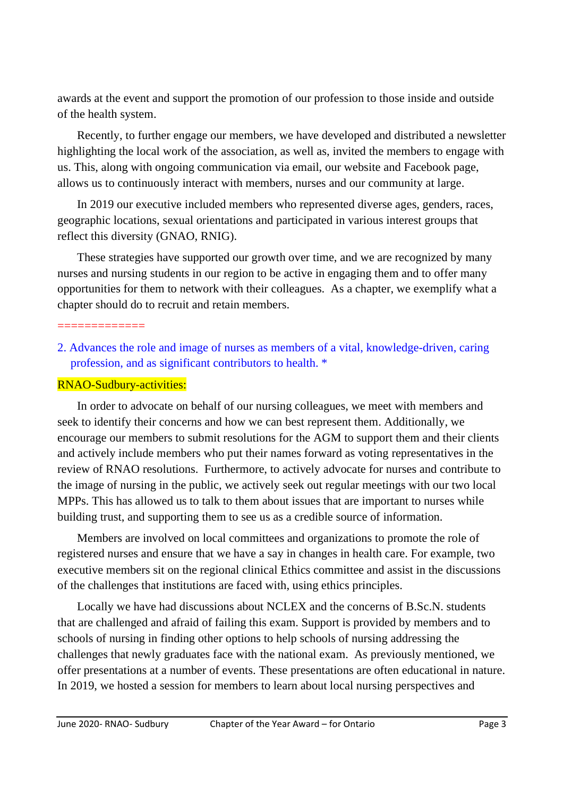awards at the event and support the promotion of our profession to those inside and outside of the health system.

Recently, to further engage our members, we have developed and distributed a newsletter highlighting the local work of the association, as well as, invited the members to engage with us. This, along with ongoing communication via email, our website and Facebook page, allows us to continuously interact with members, nurses and our community at large.

In 2019 our executive included members who represented diverse ages, genders, races, geographic locations, sexual orientations and participated in various interest groups that reflect this diversity (GNAO, RNIG).

These strategies have supported our growth over time, and we are recognized by many nurses and nursing students in our region to be active in engaging them and to offer many opportunities for them to network with their colleagues. As a chapter, we exemplify what a chapter should do to recruit and retain members.

#### =============

2. Advances the role and image of nurses as members of a vital, knowledge-driven, caring profession, and as significant contributors to health. \*

### RNAO-Sudbury-activities:

In order to advocate on behalf of our nursing colleagues, we meet with members and seek to identify their concerns and how we can best represent them. Additionally, we encourage our members to submit resolutions for the AGM to support them and their clients and actively include members who put their names forward as voting representatives in the review of RNAO resolutions. Furthermore, to actively advocate for nurses and contribute to the image of nursing in the public, we actively seek out regular meetings with our two local MPPs. This has allowed us to talk to them about issues that are important to nurses while building trust, and supporting them to see us as a credible source of information.

Members are involved on local committees and organizations to promote the role of registered nurses and ensure that we have a say in changes in health care. For example, two executive members sit on the regional clinical Ethics committee and assist in the discussions of the challenges that institutions are faced with, using ethics principles.

Locally we have had discussions about NCLEX and the concerns of B.Sc.N. students that are challenged and afraid of failing this exam. Support is provided by members and to schools of nursing in finding other options to help schools of nursing addressing the challenges that newly graduates face with the national exam. As previously mentioned, we offer presentations at a number of events. These presentations are often educational in nature. In 2019, we hosted a session for members to learn about local nursing perspectives and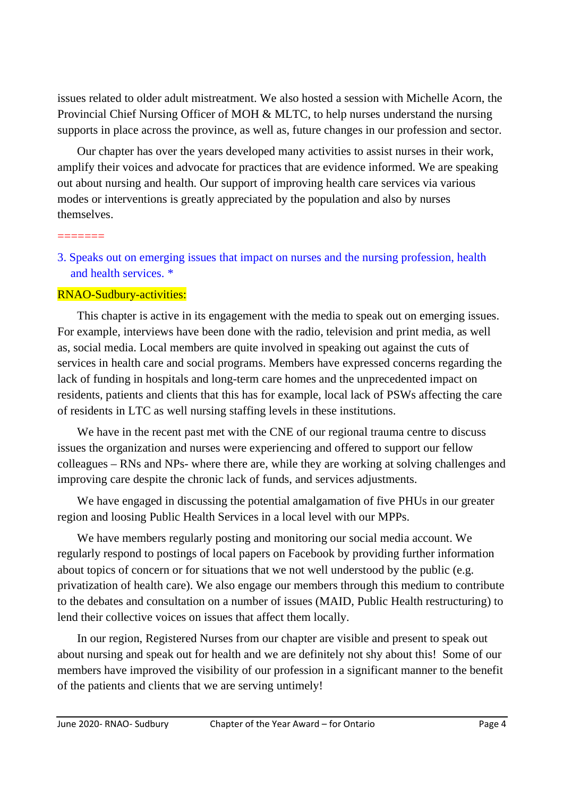issues related to older adult mistreatment. We also hosted a session with Michelle Acorn, the Provincial Chief Nursing Officer of MOH & MLTC, to help nurses understand the nursing supports in place across the province, as well as, future changes in our profession and sector.

Our chapter has over the years developed many activities to assist nurses in their work, amplify their voices and advocate for practices that are evidence informed. We are speaking out about nursing and health. Our support of improving health care services via various modes or interventions is greatly appreciated by the population and also by nurses themselves.

3. Speaks out on emerging issues that impact on nurses and the nursing profession, health and health services. \*

## RNAO-Sudbury-activities:

=======

This chapter is active in its engagement with the media to speak out on emerging issues. For example, interviews have been done with the radio, television and print media, as well as, social media. Local members are quite involved in speaking out against the cuts of services in health care and social programs. Members have expressed concerns regarding the lack of funding in hospitals and long-term care homes and the unprecedented impact on residents, patients and clients that this has for example, local lack of PSWs affecting the care of residents in LTC as well nursing staffing levels in these institutions.

We have in the recent past met with the CNE of our regional trauma centre to discuss issues the organization and nurses were experiencing and offered to support our fellow colleagues – RNs and NPs- where there are, while they are working at solving challenges and improving care despite the chronic lack of funds, and services adjustments.

We have engaged in discussing the potential amalgamation of five PHUs in our greater region and loosing Public Health Services in a local level with our MPPs.

We have members regularly posting and monitoring our social media account. We regularly respond to postings of local papers on Facebook by providing further information about topics of concern or for situations that we not well understood by the public (e.g. privatization of health care). We also engage our members through this medium to contribute to the debates and consultation on a number of issues (MAID, Public Health restructuring) to lend their collective voices on issues that affect them locally.

In our region, Registered Nurses from our chapter are visible and present to speak out about nursing and speak out for health and we are definitely not shy about this! Some of our members have improved the visibility of our profession in a significant manner to the benefit of the patients and clients that we are serving untimely!